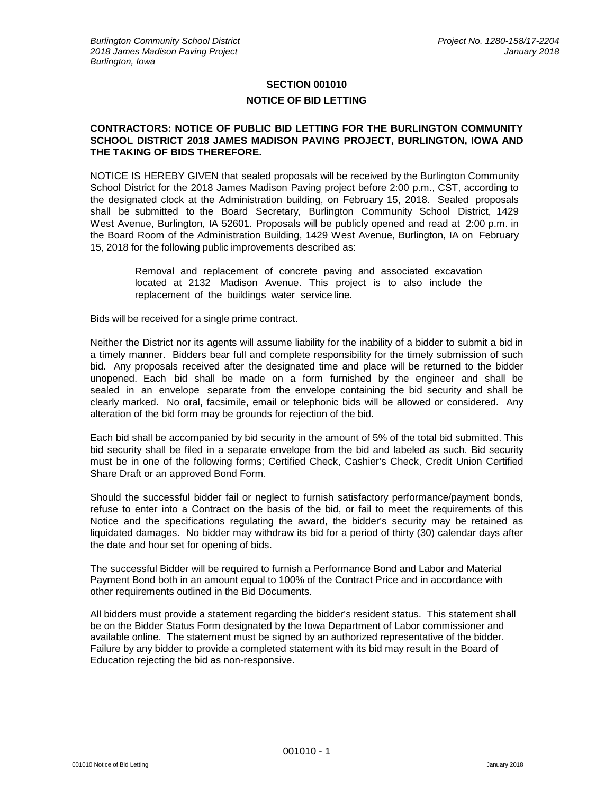## **SECTION 001010 NOTICE OF BID LETTING**

## **CONTRACTORS: NOTICE OF PUBLIC BID LETTING FOR THE BURLINGTON COMMUNITY SCHOOL DISTRICT 2018 JAMES MADISON PAVING PROJECT, BURLINGTON, IOWA AND THE TAKING OF BIDS THEREFORE.**

NOTICE IS HEREBY GIVEN that sealed proposals will be received by the Burlington Community School District for the 2018 James Madison Paving project before 2:00 p.m., CST, according to the designated clock at the Administration building, on February 15, 2018. Sealed proposals shall be submitted to the Board Secretary, Burlington Community School District, 1429 West Avenue, Burlington, IA 52601. Proposals will be publicly opened and read at 2:00 p.m. in the Board Room of the Administration Building, 1429 West Avenue, Burlington, IA on February 15, 2018 for the following public improvements described as:

> Removal and replacement of concrete paving and associated excavation located at 2132 Madison Avenue. This project is to also include the replacement of the buildings water service line.

Bids will be received for a single prime contract.

Neither the District nor its agents will assume liability for the inability of a bidder to submit a bid in a timely manner. Bidders bear full and complete responsibility for the timely submission of such bid. Any proposals received after the designated time and place will be returned to the bidder unopened. Each bid shall be made on a form furnished by the engineer and shall be sealed in an envelope separate from the envelope containing the bid security and shall be clearly marked. No oral, facsimile, email or telephonic bids will be allowed or considered. Any alteration of the bid form may be grounds for rejection of the bid.

Each bid shall be accompanied by bid security in the amount of 5% of the total bid submitted. This bid security shall be filed in a separate envelope from the bid and labeled as such. Bid security must be in one of the following forms; Certified Check, Cashier's Check, Credit Union Certified Share Draft or an approved Bond Form.

Should the successful bidder fail or neglect to furnish satisfactory performance/payment bonds, refuse to enter into a Contract on the basis of the bid, or fail to meet the requirements of this Notice and the specifications regulating the award, the bidder's security may be retained as liquidated damages. No bidder may withdraw its bid for a period of thirty (30) calendar days after the date and hour set for opening of bids.

The successful Bidder will be required to furnish a Performance Bond and Labor and Material Payment Bond both in an amount equal to 100% of the Contract Price and in accordance with other requirements outlined in the Bid Documents.

All bidders must provide a statement regarding the bidder's resident status. This statement shall be on the Bidder Status Form designated by the Iowa Department of Labor commissioner and available online. The statement must be signed by an authorized representative of the bidder. Failure by any bidder to provide a completed statement with its bid may result in the Board of Education rejecting the bid as non-responsive.